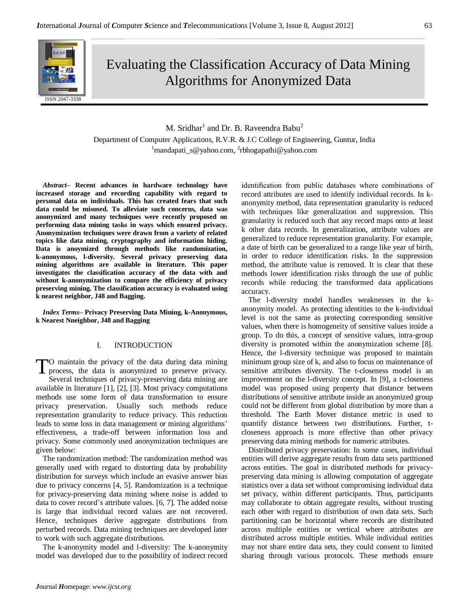

Evaluating the Classification Accuracy of Data Mining Algorithms for Anonymized Data

# M. Sridhar $^1$  and Dr. B. Raveendra Babu $^2$

Department of Computer Applications, R.V.R. & J.C College of Engineering, Guntur, India <sup>1</sup>mandapati\_s@yahoo.com, <sup>2</sup>rbhogapathi@yahoo.com

*Abstract***– Recent advances in hardware technology have increased storage and recording capability with regard to personal data on individuals. This has created fears that such data could be misused. To alleviate such concerns, data was anonymized and many techniques were recently proposed on performing data mining tasks in ways which ensured privacy. Anonymization techniques were drawn from a variety of related topics like data mining, cryptography and information hiding. Data is anoymized through methods like randomization, k-anonymous, l-diversity. Several privacy preserving data mining algorithms are available in literature. This paper investigates the classification accuracy of the data with and without k-anonymization to compare the efficiency of privacy preserving mining. The classification accuracy is evaluated using k nearest neighbor, J48 and Bagging.**

*Index Terms–* **Privacy Preserving Data Mining, k-Anonymous, k Nearest Nneighbor, J48 and Bagging**

# I. INTRODUCTION

O maintain the privacy of the data during data mining process, the data is anonymized to preserve privacy. Several techniques of privacy-preserving data mining are available in literature [1], [2], [3]. Most privacy computations methods use some form of data transformation to ensure privacy preservation. Usually such methods reduce representation granularity to reduce privacy. This reduction leads to some loss in data management or mining algorithms' effectiveness, a trade-off between information loss and privacy. Some commonly used anonymization techniques are given below: T

The randomization method: The randomization method was generally used with regard to distorting data by probability distribution for surveys which include an evasive answer bias due to privacy concerns [4, 5]. Randomization is a technique for privacy-preserving data mining where noise is added to data to cover record's attribute values. [6, 7]. The added noise is large that individual record values are not recovered. Hence, techniques derive aggregate distributions from perturbed records. Data mining techniques are developed later to work with such aggregate distributions.

The k-anonymity model and l-diversity: The k-anonymity model was developed due to the possibility of indirect record identification from public databases where combinations of record attributes are used to identify individual records. In kanonymity method, data representation granularity is reduced with techniques like generalization and suppression. This granularity is reduced such that any record maps onto at least k other data records. In generalization, attribute values are generalized to reduce representation granularity. For example, a date of birth can be generalized to a range like year of birth, in order to reduce identification risks. In the suppression method, the attribute value is removed. It is clear that these methods lower identification risks through the use of public records while reducing the transformed data applications accuracy.

The l-diversity model handles weaknesses in the kanonymity model. As protecting identities to the k-individual level is not the same as protecting corresponding sensitive values, when there is homogeneity of sensitive values inside a group. To do this, a concept of sensitive values, intra-group diversity is promoted within the anonymization scheme [8]. Hence, the l-diversity technique was proposed to maintain minimum group size of k, and also to focus on maintenance of sensitive attributes diversity. The t-closeness model is an improvement on the l-diversity concept. In [9], a t-closeness model was proposed using property that distance between distributions of sensitive attribute inside an anonymized group could not be different from global distribution by more than a threshold. The Earth Mover distance metric is used to quantify distance between two distributions. Further, tcloseness approach is more effective than other privacy preserving data mining methods for numeric attributes.

Distributed privacy preservation: In some cases, individual entities will derive aggregate results from data sets partitioned across entities. The goal in distributed methods for privacypreserving data mining is allowing computation of aggregate statistics over a data set without compromising individual data set privacy, within different participants. Thus, participants may collaborate to obtain aggregate results, without trusting each other with regard to distribution of own data sets. Such partitioning can be horizontal where records are distributed across multiple entities or vertical where attributes are distributed across multiple entities. While individual entities may not share entire data sets, they could consent to limited sharing through various protocols. These methods ensure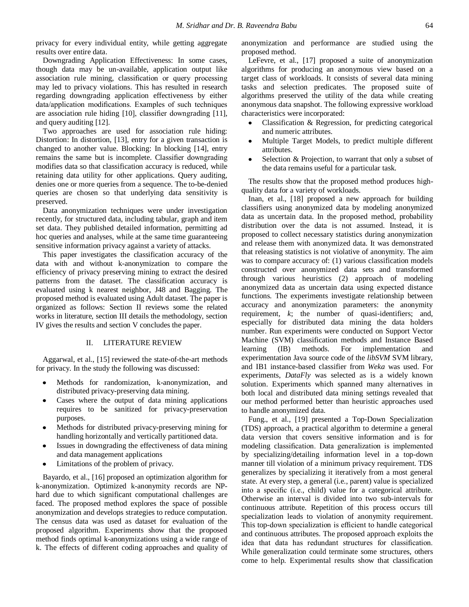privacy for every individual entity, while getting aggregate results over entire data.

Downgrading Application Effectiveness: In some cases, though data may be un-available, application output like association rule mining, classification or query processing may led to privacy violations. This has resulted in research regarding downgrading application effectiveness by either data/application modifications. Examples of such techniques are association rule hiding [10], classifier downgrading [11], and query auditing [12].

Two approaches are used for association rule hiding: Distortion: In distortion, [13], entry for a given transaction is changed to another value. Blocking: In blocking [14], entry remains the same but is incomplete. Classifier downgrading modifies data so that classification accuracy is reduced, while retaining data utility for other applications. Query auditing, denies one or more queries from a sequence. The to-be-denied queries are chosen so that underlying data sensitivity is preserved.

Data anonymization techniques were under investigation recently, for structured data, including tabular, graph and item set data. They published detailed information, permitting ad hoc queries and analyses, while at the same time guaranteeing sensitive information privacy against a variety of attacks.

This paper investigates the classification accuracy of the data with and without k-anonymization to compare the efficiency of privacy preserving mining to extract the desired patterns from the dataset. The classification accuracy is evaluated using k nearest neighbor, J48 and Bagging. The proposed method is evaluated using Adult dataset. The paper is organized as follows: Section II reviews some the related works in literature, section III details the methodology, section IV gives the results and section V concludes the paper.

## II. LITERATURE REVIEW

Aggarwal, et al., [15] reviewed the state-of-the-art methods for privacy. In the study the following was discussed:

- Methods for randomization, k-anonymization, and distributed privacy-preserving data mining.
- Cases where the output of data mining applications requires to be sanitized for privacy-preservation purposes.
- Methods for distributed privacy-preserving mining for handling horizontally and vertically partitioned data.
- Issues in downgrading the effectiveness of data mining and data management applications
- Limitations of the problem of privacy.

Bayardo, et al., [16] proposed an optimization algorithm for k-anonymization. Optimized k-anonymity records are NPhard due to which significant computational challenges are faced. The proposed method explores the space of possible anonymization and develops strategies to reduce computation. The census data was used as dataset for evaluation of the proposed algorithm. Experiments show that the proposed method finds optimal k-anonymizations using a wide range of k. The effects of different coding approaches and quality of anonymization and performance are studied using the proposed method.

LeFevre, et al., [17] proposed a suite of anonymization algorithms for producing an anonymous view based on a target class of workloads. It consists of several data mining tasks and selection predicates. The proposed suite of algorithms preserved the utility of the data while creating anonymous data snapshot. The following expressive workload characteristics were incorporated:

- Classification & Regression, for predicting categorical and numeric attributes.
- Multiple Target Models, to predict multiple different attributes.
- Selection & Projection, to warrant that only a subset of the data remains useful for a particular task.

The results show that the proposed method produces highquality data for a variety of workloads.

Inan, et al., [18] proposed a new approach for building classifiers using anonymized data by modeling anonymized data as uncertain data. In the proposed method, probability distribution over the data is not assumed. Instead, it is proposed to collect necessary statistics during anonymization and release them with anonymized data. It was demonstrated that releasing statistics is not violative of anonymity. The aim was to compare accuracy of: (1) various classification models constructed over anonymized data sets and transformed through various heuristics (2) approach of modeling anonymized data as uncertain data using expected distance functions. The experiments investigate relationship between accuracy and anonymization parameters: the anonymity requirement, *k*; the number of quasi-identifiers; and, especially for distributed data mining the data holders number. Run experiments were conducted on Support Vector Machine (SVM) classification methods and Instance Based learning (IB) methods. For implementation and experimentation Java source code of the *libSVM* SVM library, and IB1 instance-based classifier from *Weka* was used. For experiments, *DataFly* was selected as is a widely known solution. Experiments which spanned many alternatives in both local and distributed data mining settings revealed that our method performed better than heuristic approaches used to handle anonymized data.

Fung., et al., [19] presented a Top-Down Specialization (TDS) approach, a practical algorithm to determine a general data version that covers sensitive information and is for modeling classification. Data generalization is implemented by specializing/detailing information level in a top-down manner till violation of a minimum privacy requirement. TDS generalizes by specializing it iteratively from a most general state. At every step, a general (i.e., parent) value is specialized into a specific (i.e., child) value for a categorical attribute. Otherwise an interval is divided into two sub-intervals for continuous attribute. Repetition of this process occurs till specialization leads to violation of anonymity requirement. This top-down specialization is efficient to handle categorical and continuous attributes. The proposed approach exploits the idea that data has redundant structures for classification. While generalization could terminate some structures, others come to help. Experimental results show that classification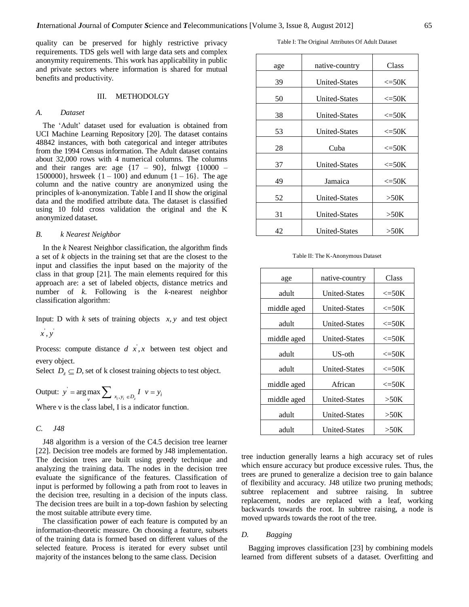quality can be preserved for highly restrictive privacy requirements. TDS gels well with large data sets and complex anonymity requirements. This work has applicability in public and private sectors where information is shared for mutual benefits and productivity.

### III. METHODOLGY

### *A. Dataset*

The 'Adult' dataset used for evaluation is obtained from UCI Machine Learning Repository [20]. The dataset contains 48842 instances, with both categorical and integer attributes from the 1994 Census information. The Adult dataset contains about 32,000 rows with 4 numerical columns. The columns and their ranges are: age  $\{17 - 90\}$ , fnlwgt  $\{10000 -$ 1500000}, hrsweek  $\{1 - 100\}$  and edunum  $\{1 - 16\}$ . The age column and the native country are anonymized using the principles of k-anonymization. Table I and II show the original data and the modified attribute data. The dataset is classified using 10 fold cross validation the original and the K anonymized dataset.

#### *B. k Nearest Neighbor*

In the *k* Nearest Neighbor classification, the algorithm finds a set of *k* objects in the training set that are the closest to the input and classifies the input based on the majority of the class in that group [21]. The main elements required for this approach are: a set of labeled objects, distance metrics and number of *k*. Following is the *k*-nearest neighbor classification algorithm:

Input: D with  $k$  sets of training objects  $x, y$  and test object  $\dot{x}$ ,  $\dot{y}$ 

Process: compute distance  $d\vec{x}$ ,  $\vec{x}$  between test object and every object.

Select  $D_z \subseteq D$ , set of k closest training objects to test object.

Output: 
$$
y' = \underset{v}{\arg \max} \sum_{x_i, y_i \in D_z} I \quad v = y_i
$$

Where v is the class label, I is a indicator function.

#### *C. J48*

J48 algorithm is a version of the C4.5 decision tree learner [22]. Decision tree models are formed by J48 implementation. The decision trees are built using greedy technique and analyzing the training data. The nodes in the decision tree evaluate the significance of the features. Classification of input is performed by following a path from root to leaves in the decision tree, resulting in a decision of the inputs class. The decision trees are built in a top-down fashion by selecting the most suitable attribute every time.

The classification power of each feature is computed by an information-theoretic measure. On choosing a feature, subsets of the training data is formed based on different values of the selected feature. Process is iterated for every subset until majority of the instances belong to the same class. Decision

Table I: The Original Attributes Of Adult Dataset

| age | native-country       | Class            |  |
|-----|----------------------|------------------|--|
| 39  | <b>United-States</b> | $\leq$ =50K      |  |
| 50  | <b>United-States</b> | $\leq$ =50K      |  |
| 38  | <b>United-States</b> | $\leq$ =50K      |  |
| 53  | <b>United-States</b> | $\leq$ =50K      |  |
| 28  | Cuba                 | $\leq$ =50K      |  |
| 37  | <b>United-States</b> | $\epsilon = 50K$ |  |
| 49  | Jamaica              | $\leq$ =50K      |  |
| 52  | <b>United-States</b> | >50K             |  |
| 31  | <b>United-States</b> | >50K             |  |
| 42  | <b>United-States</b> | >50K             |  |

Table II: The K-Anonymous Dataset

| age         | native-country       | Class            |  |
|-------------|----------------------|------------------|--|
| adult       | United-States        | $\epsilon = 50K$ |  |
| middle aged | <b>United-States</b> | $\epsilon = 50K$ |  |
| adult       | <b>United-States</b> | $\leq$ =50K      |  |
| middle aged | <b>United-States</b> | $\epsilon = 50K$ |  |
| adult       | US-oth               | $\epsilon = 50K$ |  |
| adult       | <b>United-States</b> | $\leq$ =50K      |  |
| middle aged | African              | $\epsilon = 50K$ |  |
| middle aged | <b>United-States</b> | >50K             |  |
| adult       | <b>United-States</b> | >50K             |  |
| adult       | <b>United-States</b> | >50K             |  |

tree induction generally learns a high accuracy set of rules which ensure accuracy but produce excessive rules. Thus, the trees are pruned to generalize a decision tree to gain balance of flexibility and accuracy. J48 utilize two pruning methods; subtree replacement and subtree raising. In subtree replacement, nodes are replaced with a leaf, working backwards towards the root. In subtree raising, a node is moved upwards towards the root of the tree.

# *D. Bagging*

Bagging improves classification [23] by combining models learned from different subsets of a dataset. Overfitting and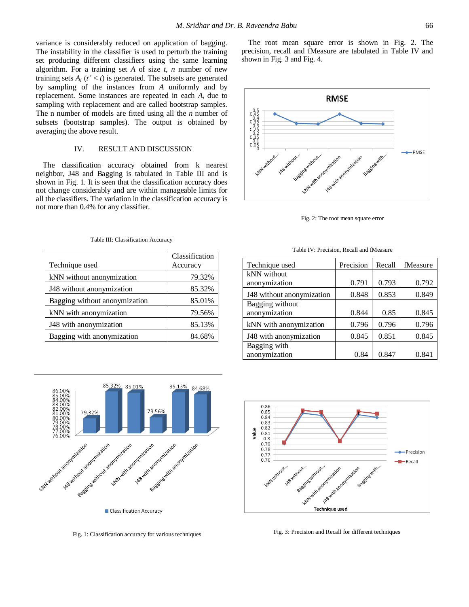variance is considerably reduced on application of bagging. The instability in the classifier is used to perturb the training set producing different classifiers using the same learning algorithm. For a training set *A* of size *t*, *n* number of new training sets  $A_i$  ( $t' < t$ ) is generated. The subsets are generated by sampling of the instances from *A* uniformly and by replacement. Some instances are repeated in each *A<sup>i</sup>* due to sampling with replacement and are called bootstrap samples. The n number of models are fitted using all the *n* number of subsets (bootstrap samples). The output is obtained by averaging the above result.

# IV. RESULT AND DISCUSSION

The classification accuracy obtained from k nearest neighbor, J48 and Bagging is tabulated in Table III and is shown in Fig. 1. It is seen that the classification accuracy does not change considerably and are within manageable limits for all the classifiers. The variation in the classification accuracy is not more than 0.4% for any classifier.

|                               | Classification |  |
|-------------------------------|----------------|--|
| Technique used                | Accuracy       |  |
| kNN without anonymization     | 79.32%         |  |
| J48 without anonymization     | 85.32%         |  |
| Bagging without anonymization | 85.01%         |  |
| kNN with anonymization        | 79.56%         |  |
| J48 with anonymization        | 85.13%         |  |
| Bagging with anonymization    | 84.68%         |  |

Table III: Classification Accuracy



Fig. 1: Classification accuracy for various techniques

The root mean square error is shown in Fig. 2. The precision, recall and fMeasure are tabulated in Table IV and shown in Fig. 3 and Fig. 4.



Fig. 2: The root mean square error

| Technique used            | Precision | Recall | fMeasure |
|---------------------------|-----------|--------|----------|
| kNN without               |           |        |          |
| anonymization             | 0.791     | 0.793  | 0.792    |
| J48 without anonymization | 0.848     | 0.853  | 0.849    |
| Bagging without           |           |        |          |
| anonymization             | 0.844     | 0.85   | 0.845    |
| kNN with anonymization    | 0.796     | 0.796  | 0.796    |
| J48 with anonymization    | 0.845     | 0.851  | 0.845    |
| Bagging with              |           |        |          |
| anonymization             | 0.84      | 0.847  | 0.841    |





Fig. 3: Precision and Recall for different techniques